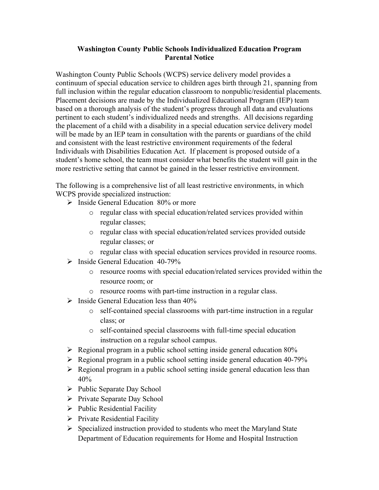## **Washington County Public Schools Individualized Education Program Parental Notice**

Washington County Public Schools (WCPS) service delivery model provides a continuum of special education service to children ages birth through 21, spanning from full inclusion within the regular education classroom to nonpublic/residential placements. Placement decisions are made by the Individualized Educational Program (IEP) team based on a thorough analysis of the student's progress through all data and evaluations pertinent to each student's individualized needs and strengths. All decisions regarding the placement of a child with a disability in a special education service delivery model will be made by an IEP team in consultation with the parents or guardians of the child and consistent with the least restrictive environment requirements of the federal Individuals with Disabilities Education Act. If placement is proposed outside of a student's home school, the team must consider what benefits the student will gain in the more restrictive setting that cannot be gained in the lesser restrictive environment.

The following is a comprehensive list of all least restrictive environments, in which WCPS provide specialized instruction:

- $\triangleright$  Inside General Education 80% or more
	- o regular class with special education/related services provided within regular classes;
	- o regular class with special education/related services provided outside regular classes; or
	- o regular class with special education services provided in resource rooms.
- $\triangleright$  Inside General Education 40-79%
	- o resource rooms with special education/related services provided within the resource room; or
	- o resource rooms with part-time instruction in a regular class.
- $\triangleright$  Inside General Education less than 40%
	- o self-contained special classrooms with part-time instruction in a regular class; or
	- o self-contained special classrooms with full-time special education instruction on a regular school campus.
- $\triangleright$  Regional program in a public school setting inside general education 80%
- $\triangleright$  Regional program in a public school setting inside general education 40-79%
- $\triangleright$  Regional program in a public school setting inside general education less than 40%
- $\triangleright$  Public Separate Day School
- $\triangleright$  Private Separate Day School
- $\triangleright$  Public Residential Facility
- $\triangleright$  Private Residential Facility
- $\triangleright$  Specialized instruction provided to students who meet the Maryland State Department of Education requirements for Home and Hospital Instruction